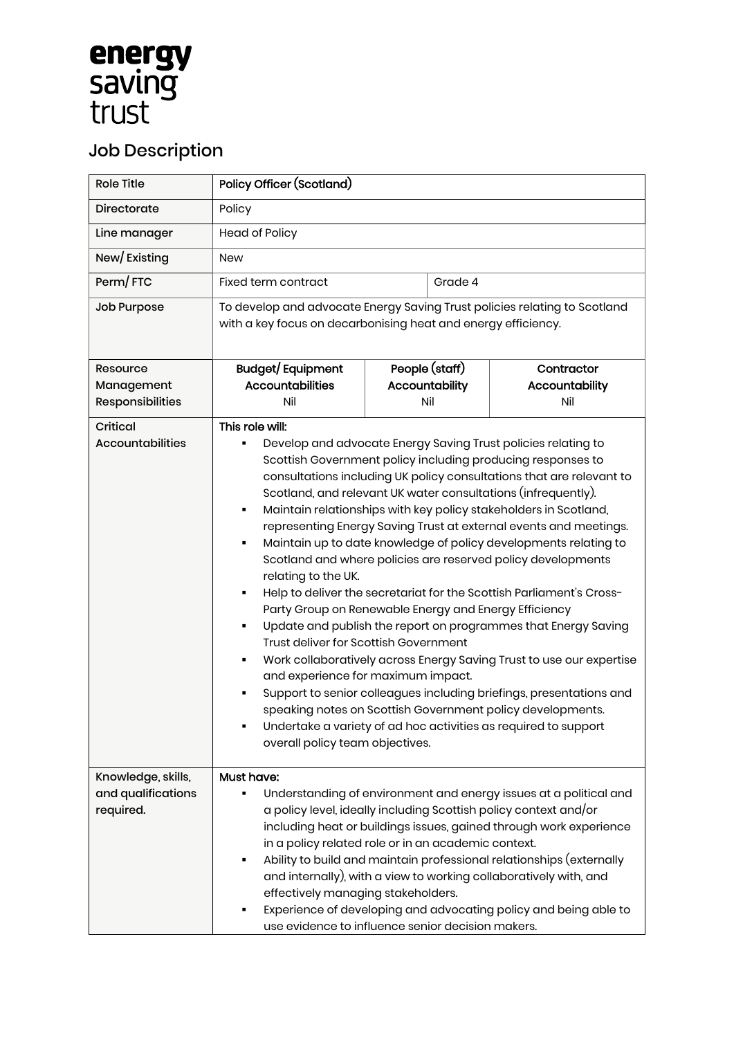## **energy**<br>saving<br>trust

## Job Description

| <b>Role Title</b>                                     | <b>Policy Officer (Scotland)</b>                                                                                                                                                                                                                                                                                                                                                                                                                                                                                                                                                                                                                                                                                                                                                                                                                                                                                                                                                                                                                                                                                                                                                                                |  |                                         |                                     |
|-------------------------------------------------------|-----------------------------------------------------------------------------------------------------------------------------------------------------------------------------------------------------------------------------------------------------------------------------------------------------------------------------------------------------------------------------------------------------------------------------------------------------------------------------------------------------------------------------------------------------------------------------------------------------------------------------------------------------------------------------------------------------------------------------------------------------------------------------------------------------------------------------------------------------------------------------------------------------------------------------------------------------------------------------------------------------------------------------------------------------------------------------------------------------------------------------------------------------------------------------------------------------------------|--|-----------------------------------------|-------------------------------------|
| Directorate                                           | Policy                                                                                                                                                                                                                                                                                                                                                                                                                                                                                                                                                                                                                                                                                                                                                                                                                                                                                                                                                                                                                                                                                                                                                                                                          |  |                                         |                                     |
| Line manager                                          | Head of Policy                                                                                                                                                                                                                                                                                                                                                                                                                                                                                                                                                                                                                                                                                                                                                                                                                                                                                                                                                                                                                                                                                                                                                                                                  |  |                                         |                                     |
| New/Existing                                          | <b>New</b>                                                                                                                                                                                                                                                                                                                                                                                                                                                                                                                                                                                                                                                                                                                                                                                                                                                                                                                                                                                                                                                                                                                                                                                                      |  |                                         |                                     |
| Perm/FTC                                              | Fixed term contract                                                                                                                                                                                                                                                                                                                                                                                                                                                                                                                                                                                                                                                                                                                                                                                                                                                                                                                                                                                                                                                                                                                                                                                             |  | Grade 4                                 |                                     |
| Job Purpose                                           | To develop and advocate Energy Saving Trust policies relating to Scotland<br>with a key focus on decarbonising heat and energy efficiency.                                                                                                                                                                                                                                                                                                                                                                                                                                                                                                                                                                                                                                                                                                                                                                                                                                                                                                                                                                                                                                                                      |  |                                         |                                     |
| Resource<br>Management<br>Responsibilities            | Budget/Equipment<br><b>Accountabilities</b><br>Nil                                                                                                                                                                                                                                                                                                                                                                                                                                                                                                                                                                                                                                                                                                                                                                                                                                                                                                                                                                                                                                                                                                                                                              |  | People (staff)<br>Accountability<br>Nil | Contractor<br>Accountability<br>Nil |
| Critical<br><b>Accountabilities</b>                   | This role will:<br>Develop and advocate Energy Saving Trust policies relating to<br>Scottish Government policy including producing responses to<br>consultations including UK policy consultations that are relevant to<br>Scotland, and relevant UK water consultations (infrequently).<br>Maintain relationships with key policy stakeholders in Scotland,<br>representing Energy Saving Trust at external events and meetings.<br>Maintain up to date knowledge of policy developments relating to<br>Scotland and where policies are reserved policy developments<br>relating to the UK.<br>Help to deliver the secretariat for the Scottish Parliament's Cross-<br>Party Group on Renewable Energy and Energy Efficiency<br>Update and publish the report on programmes that Energy Saving<br>Trust deliver for Scottish Government<br>Work collaboratively across Energy Saving Trust to use our expertise<br>and experience for maximum impact.<br>Support to senior colleagues including briefings, presentations and<br>speaking notes on Scottish Government policy developments.<br>Undertake a variety of ad hoc activities as required to support<br>overall policy team objectives.<br>Must have: |  |                                         |                                     |
| Knowledge, skills,<br>and qualifications<br>required. | Understanding of environment and energy issues at a political and<br>a policy level, ideally including Scottish policy context and/or<br>including heat or buildings issues, gained through work experience<br>in a policy related role or in an academic context.<br>Ability to build and maintain professional relationships (externally<br>٠<br>and internally), with a view to working collaboratively with, and<br>effectively managing stakeholders.<br>Experience of developing and advocating policy and being able to<br>use evidence to influence senior decision makers.                                                                                                                                                                                                                                                                                                                                                                                                                                                                                                                                                                                                                             |  |                                         |                                     |